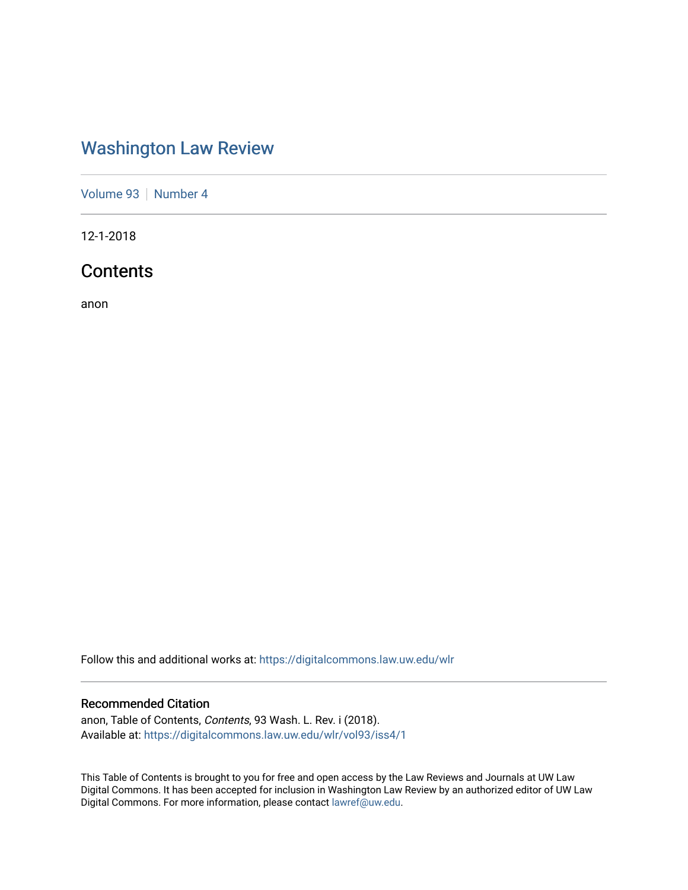### [Washington Law Review](https://digitalcommons.law.uw.edu/wlr)

[Volume 93](https://digitalcommons.law.uw.edu/wlr/vol93) | [Number 4](https://digitalcommons.law.uw.edu/wlr/vol93/iss4)

12-1-2018

### **Contents**

anon

Follow this and additional works at: [https://digitalcommons.law.uw.edu/wlr](https://digitalcommons.law.uw.edu/wlr?utm_source=digitalcommons.law.uw.edu%2Fwlr%2Fvol93%2Fiss4%2F1&utm_medium=PDF&utm_campaign=PDFCoverPages)

#### Recommended Citation

anon, Table of Contents, Contents, 93 Wash. L. Rev. i (2018). Available at: [https://digitalcommons.law.uw.edu/wlr/vol93/iss4/1](https://digitalcommons.law.uw.edu/wlr/vol93/iss4/1?utm_source=digitalcommons.law.uw.edu%2Fwlr%2Fvol93%2Fiss4%2F1&utm_medium=PDF&utm_campaign=PDFCoverPages)

This Table of Contents is brought to you for free and open access by the Law Reviews and Journals at UW Law Digital Commons. It has been accepted for inclusion in Washington Law Review by an authorized editor of UW Law Digital Commons. For more information, please contact [lawref@uw.edu.](mailto:lawref@uw.edu)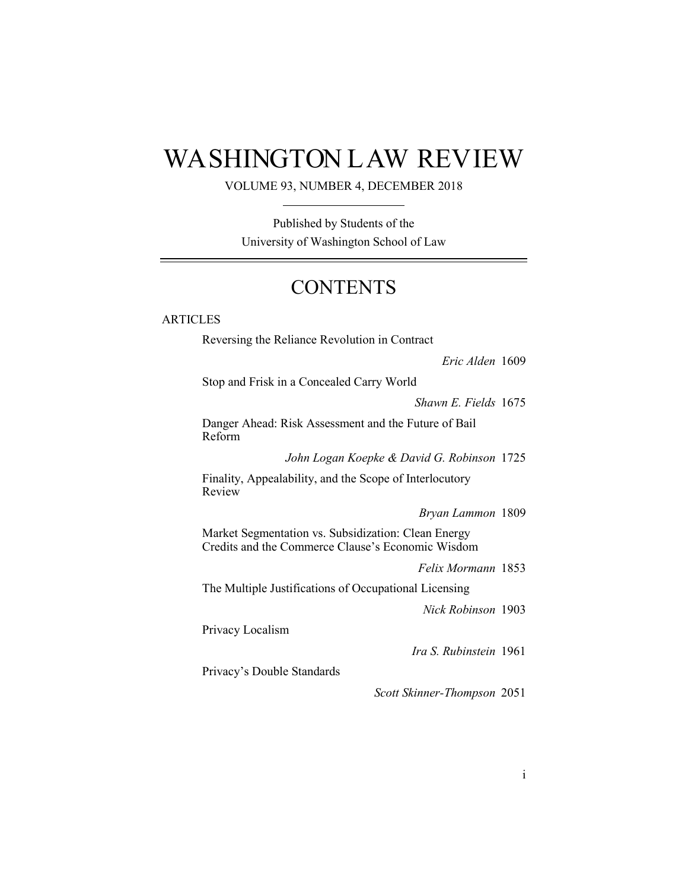# WASHINGTON LAW REVIEW

VOLUME 93, NUMBER 4, DECEMBER 2018

Published by Students of the University of Washington School of Law

### **CONTENTS**

**ARTICLES** 

Reversing the Reliance Revolution in Contract

*Eric Alden* 1609

Stop and Frisk in a Concealed Carry World

*Shawn E. Fields* 1675

Danger Ahead: Risk Assessment and the Future of Bail Reform

*John Logan Koepke & David G. Robinson* 1725

Finality, Appealability, and the Scope of Interlocutory Review

*Bryan Lammon* 1809

Market Segmentation vs. Subsidization: Clean Energy Credits and the Commerce Clause's Economic Wisdom

*Felix Mormann* 1853

The Multiple Justifications of Occupational Licensing

*Nick Robinson* 1903

Privacy Localism

*Ira S. Rubinstein* 1961

Privacy's Double Standards

*Scott Skinner-Thompson* 2051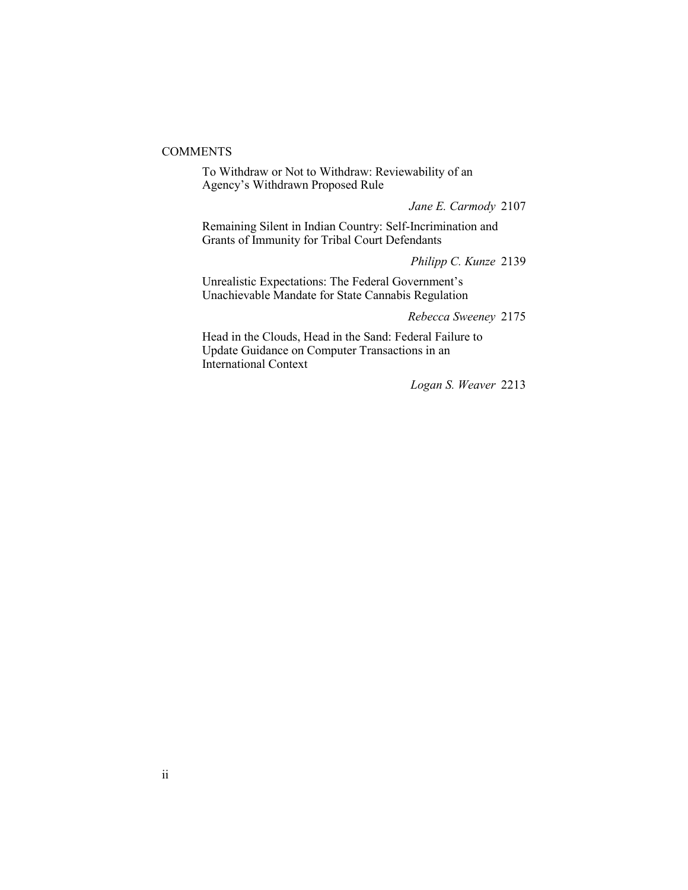#### **COMMENTS**

To Withdraw or Not to Withdraw: Reviewability of an Agency's Withdrawn Proposed Rule

*Jane E. Carmody* 2107

Remaining Silent in Indian Country: Self-Incrimination and Grants of Immunity for Tribal Court Defendants

*Philipp C. Kunze* 2139

Unrealistic Expectations: The Federal Government's Unachievable Mandate for State Cannabis Regulation

*Rebecca Sweeney* 2175

Head in the Clouds, Head in the Sand: Federal Failure to Update Guidance on Computer Transactions in an International Context

*Logan S. Weaver* 2213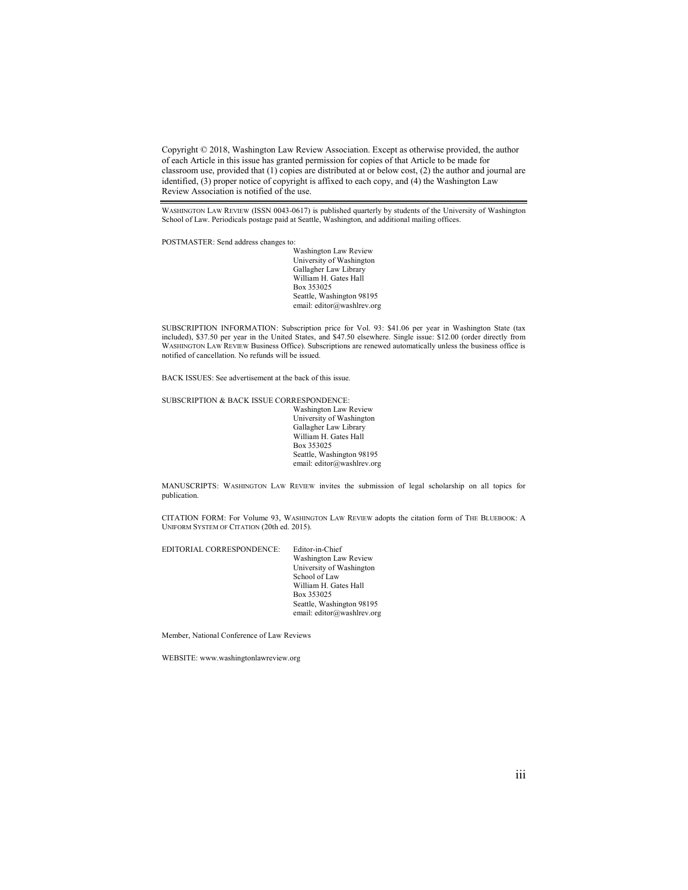Copyright © 2018, Washington Law Review Association. Except as otherwise provided, the author of each Article in this issue has granted permission for copies of that Article to be made for classroom use, provided that (1) copies are distributed at or below cost, (2) the author and journal are identified, (3) proper notice of copyright is affixed to each copy, and (4) the Washington Law Review Association is notified of the use.

WASHINGTON LAW REVIEW (ISSN 0043-0617) is published quarterly by students of the University of Washington School of Law. Periodicals postage paid at Seattle, Washington, and additional mailing offices.

POSTMASTER: Send address changes to:

Washington Law Review University of Washington Gallagher Law Library William H. Gates Hall Box 353025 Seattle, Washington 98195 email: editor@washlrev.org

SUBSCRIPTION INFORMATION: Subscription price for Vol. 93: \$41.06 per year in Washington State (tax included), \$37.50 per year in the United States, and \$47.50 elsewhere. Single issue: \$12.00 (order directly from WASHINGTON LAW REVIEW Business Office). Subscriptions are renewed automatically unless the business office is notified of cancellation. No refunds will be issued.

BACK ISSUES: See advertisement at the back of this issue.

SUBSCRIPTION & BACK ISSUE CORRESPONDENCE:

Washington Law Review University of Washington Gallagher Law Library William H. Gates Hall Box 353025 Seattle, Washington 98195 email: editor@washlrev.org

MANUSCRIPTS: WASHINGTON LAW REVIEW invites the submission of legal scholarship on all topics for publication.

CITATION FORM: For Volume 93, WASHINGTON LAW REVIEW adopts the citation form of THE BLUEBOOK: A UNIFORM SYSTEM OF CITATION (20th ed. 2015).

EDITORIAL CORRESPONDENCE: Editor-in-Chief

Washington Law Review University of Washington School of Law William H. Gates Hall Box 353025 Seattle, Washington 98195 email: editor@washlrev.org

Member, National Conference of Law Reviews

WEBSITE: www.washingtonlawreview.org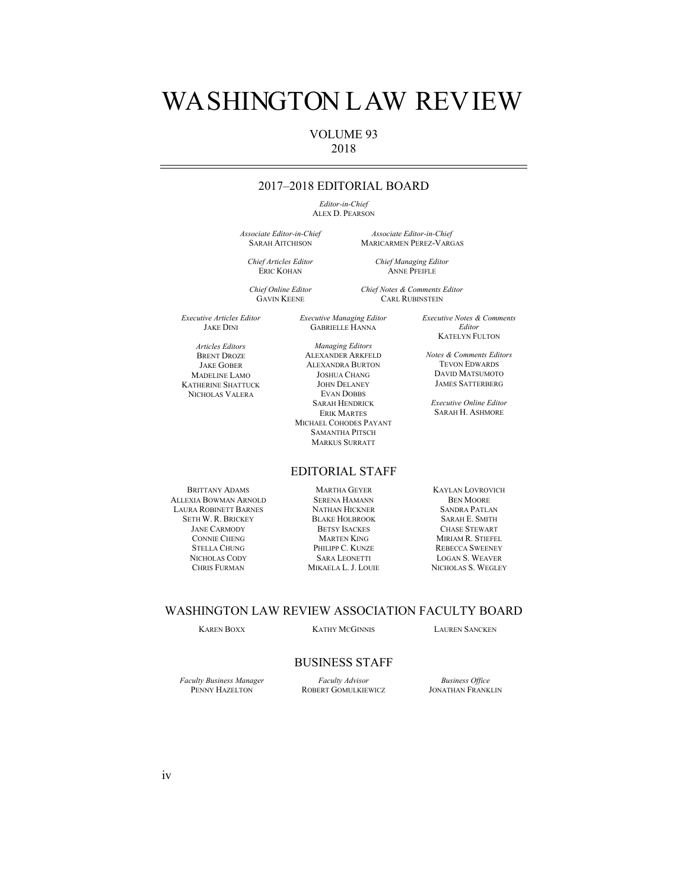## WASHINGTON LAW REVIEW

#### VOLUME 93 2018

#### 2017–2018 EDITORIAL BOARD

*Editor-in-Chief* ALEX D. PEARSON

*Associate Editor-in-Chief* SARAH AITCHISON

*Associate Editor-in-Chief* MARICARMEN PEREZ-VARGAS

*Chief Articles Editor* ERIC KOHAN

*Chief Managing Editor* ANNE PFEIFLE

*Chief Online Editor* GAVIN KEENE

*Chief Notes & Comments Editor* CARL RUBINSTEIN

*Executive Articles Editor* JAKE DINI

*Articles Editors* BRENT DROZE JAKE GOBER MADELINE LAMO KATHERINE SHATTUCK NICHOLAS VALERA

BRITTANY ADAMS ALLEXIA BOWMAN ARNOLD LAURA ROBINETT BARNES SETH W. R. BRICKEY JANE CARMODY CONNIE CHENG STELLA CHUNG NICHOLAS CODY CHRIS FURMAN

*Managing Editors* ALEXANDER ARKFELD ALEXANDRA BURTON JOSHUA CHANG JOHN DELANEY EVAN DOBBS

*Executive Managing Editor* GABRIELLE HANNA

SARAH HENDRICK ERIK MARTES MICHAEL COHODES PAYANT SAMANTHA PITSCH MARKUS SURRATT

#### EDITORIAL STAFF

MARTHA GEYER SERENA HAMANN NATHAN HICKNER BLAKE HOLBROOK BETSY ISACKES MARTEN KING PHILIPP C. KUNZE SARA LEONETTI MIKAELA L. J. LOUIE *Executive Notes & Comments Editor* KATELYN FULTON

*Notes & Comments Editors* TEVON EDWARDS DAVID MATSUMOTO JAMES SATTERBERG

*Executive Online Editor* SARAH H. ASHMORE

KAYLAN LOVROVICH BEN MOORE SANDRA PATLAN SARAH E. SMITH CHASE STEWART MIRIAM R. STIEFEL REBECCA SWEENEY LOGAN S. WEAVER NICHOLAS S. WEGLEY

WASHINGTON LAW REVIEW ASSOCIATION FACULTY BOARD

KAREN BOXX KATHY MCGINNIS LAUREN SANCKEN

#### BUSINESS STAFF

*Faculty Business Manager* PENNY HAZELTON

*Faculty Advisor* ROBERT GOMULKIEWICZ

*Business Office* JONATHAN FRANKLIN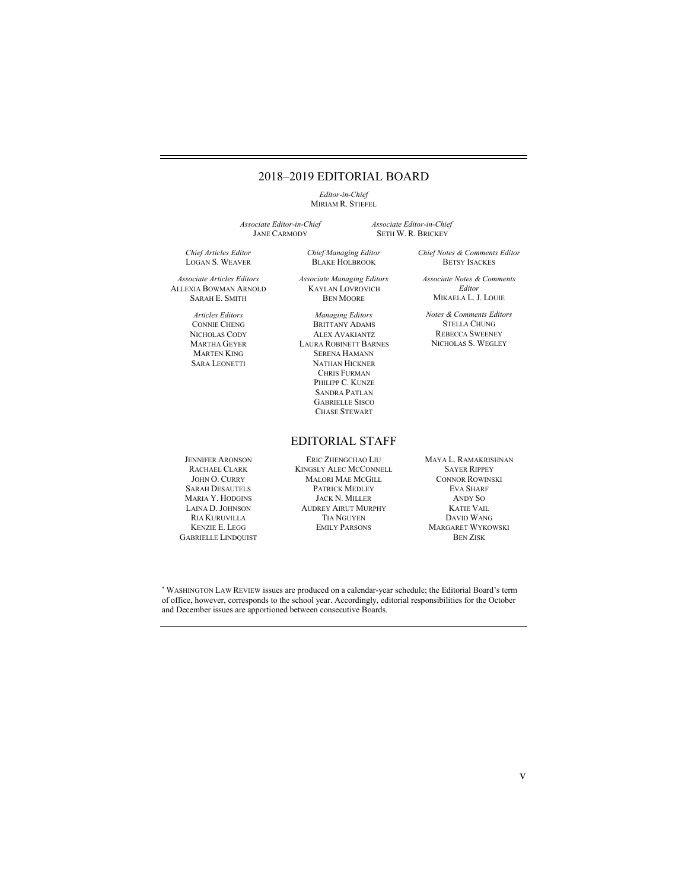#### 2018–2019 EDITORIAL BOARD

*Editor-in-Chief* MIRIAM R. STIEFEL

*Associate Editor-in-Chief* JANE CARMODY

*Associate Editor-in-Chief* SETH W. R. BRICKEY

*Chief Articles Editor* LOGAN S. WEAVER

*Associate Articles Editors* ALLEXIA BOWMAN ARNOLD SARAH E. SMITH

> *Articles Editors* CONNIE CHENG NICHOLAS CODY MARTHA GEYER MARTEN KING SARA LEONETTI

*Associate Managing Editors* KAYLAN LOVROVICH BEN MOORE *Managing Editors*

*Chief Managing Editor* BLAKE HOLBROOK

BRITTANY ADAMS ALEX AVAKIANTZ LAURA ROBINETT BARNES SERENA HAMANN NATHAN HICKNER CHRIS FURMAN PHILIPP C. KUNZE SANDRA PATLAN GABRIELLE SISCO CHASE STEWART

#### EDITORIAL STAFF

JENNIFER ARONSON RACHAEL CLARK JOHN O. CURRY SARAH DESAUTELS MARIA Y. HODGINS LAINA D. JOHNSON RIA KURUVILLA KENZIE E. LEGG GABRIELLE LINDQUIST

ERIC ZHENGCHAO LIU KINGSLY ALEC MCCONNELL MALORI MAE MCGILL PATRICK MEDLEY JACK N. MILLER AUDREY AIRUT MURPHY TIA NGUYEN EMILY PARSONS

*Chief Notes & Comments Editor* BETSY ISACKES

*Associate Notes & Comments Editor* MIKAELA L. J. LOUIE

*Notes & Comments Editors* STELLA CHUNG REBECCA SWEENEY NICHOLAS S. WEGLEY

MAYA L. RAMAKRISHNAN SAYER RIPPEY CONNOR ROWINSKI EVA SHARF ANDY SO KATIE VAIL DAVID WANG MARGARET WYKOWSKI BEN ZISK

\* WASHINGTON LAW REVIEW issues are produced on a calendar-year schedule; the Editorial Board's term of office, however, corresponds to the school year. Accordingly, editorial responsibilities for the October and December issues are apportioned between consecutive Boards.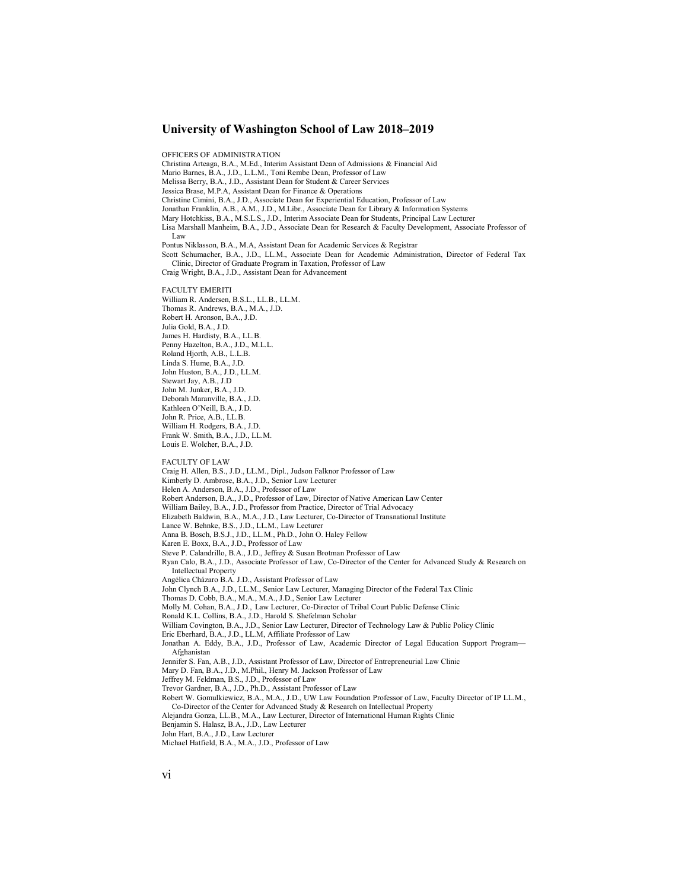#### **University of Washington School of Law 2018–2019**

OFFICERS OF ADMINISTRATION

Christina Arteaga, B.A., M.Ed., Interim Assistant Dean of Admissions & Financial Aid

Mario Barnes, B.A., J.D., L.L.M., Toni Rembe Dean, Professor of Law

Melissa Berry, B.A., J.D., Assistant Dean for Student & Career Services

Jessica Brase, M.P.A, Assistant Dean for Finance & Operations

Christine Cimini, B.A., J.D., Associate Dean for Experiential Education, Professor of Law

Jonathan Franklin, A.B., A.M., J.D., M.Libr., Associate Dean for Library & Information Systems

Mary Hotchkiss, B.A., M.S.L.S., J.D., Interim Associate Dean for Students, Principal Law Lecturer

Lisa Marshall Manheim, B.A., J.D., Associate Dean for Research & Faculty Development, Associate Professor of Law

Pontus Niklasson, B.A., M.A, Assistant Dean for Academic Services & Registrar

Scott Schumacher, B.A., J.D., LL.M., Associate Dean for Academic Administration, Director of Federal Tax Clinic, Director of Graduate Program in Taxation, Professor of Law

Craig Wright, B.A., J.D., Assistant Dean for Advancement

FACULTY EMERITI

William R. Andersen, B.S.L., LL.B., LL.M.

Thomas R. Andrews, B.A., M.A., J.D. Robert H. Aronson, B.A., J.D.

Julia Gold, B.A., J.D.

James H. Hardisty, B.A., LL.B.

Penny Hazelton, B.A., J.D., M.L.L.

Roland Hjorth, A.B., L.L.B.

Linda S. Hume, B.A., J.D.

John Huston, B.A., J.D., LL.M.

- Stewart Jay, A.B., J.D
- John M. Junker, B.A., J.D.

Deborah Maranville, B.A., J.D.

Kathleen O'Neill, B.A., J.D.

John R. Price, A.B., LL.B.

William H. Rodgers, B.A., J.D.

Frank W. Smith, B.A., J.D., LL.M.

Louis E. Wolcher, B.A., J.D.

FACULTY OF LAW

Craig H. Allen, B.S., J.D., LL.M., Dipl., Judson Falknor Professor of Law

Kimberly D. Ambrose, B.A., J.D., Senior Law Lecturer

Helen A. Anderson, B.A., J.D., Professor of Law

Robert Anderson, B.A., J.D., Professor of Law, Director of Native American Law Center

William Bailey, B.A., J.D., Professor from Practice, Director of Trial Advocacy

Elizabeth Baldwin, B.A., M.A., J.D., Law Lecturer, Co-Director of Transnational Institute

Lance W. Behnke, B.S., J.D., LL.M., Law Lecturer

Anna B. Bosch, B.S.J., J.D., LL.M., Ph.D., John O. Haley Fellow

Karen E. Boxx, B.A., J.D., Professor of Law

Steve P. Calandrillo, B.A., J.D., Jeffrey & Susan Brotman Professor of Law

Ryan Calo, B.A., J.D., Associate Professor of Law, Co-Director of the Center for Advanced Study & Research on Intellectual Property

Angélica Cházaro B.A. J.D., Assistant Professor of Law

John Clynch B.A., J.D., LL.M., Senior Law Lecturer, Managing Director of the Federal Tax Clinic

Thomas D. Cobb, B.A., M.A., M.A., J.D., Senior Law Lecturer

Molly M. Cohan, B.A., J.D., Law Lecturer, Co-Director of Tribal Court Public Defense Clinic

Ronald K.L. Collins, B.A., J.D., Harold S. Shefelman Scholar

William Covington, B.A., J.D., Senior Law Lecturer, Director of Technology Law & Public Policy Clinic

Eric Eberhard, B.A., J.D., LL.M, Affiliate Professor of Law

Jonathan A. Eddy, B.A., J.D., Professor of Law, Academic Director of Legal Education Support Program— Afghanistan

Jennifer S. Fan, A.B., J.D., Assistant Professor of Law, Director of Entrepreneurial Law Clinic

Mary D. Fan, B.A., J.D., M.Phil., Henry M. Jackson Professor of Law

Jeffrey M. Feldman, B.S., J.D., Professor of Law

Trevor Gardner, B.A., J.D., Ph.D., Assistant Professor of Law

Robert W. Gomulkiewicz, B.A., M.A., J.D., UW Law Foundation Professor of Law, Faculty Director of IP LL.M.,

Co-Director of the Center for Advanced Study & Research on Intellectual Property

Alejandra Gonza, LL.B., M.A., Law Lecturer, Director of International Human Rights Clinic

Benjamin S. Halasz, B.A., J.D., Law Lecturer

- John Hart, B.A., J.D., Law Lecturer
- Michael Hatfield, B.A., M.A., J.D., Professor of Law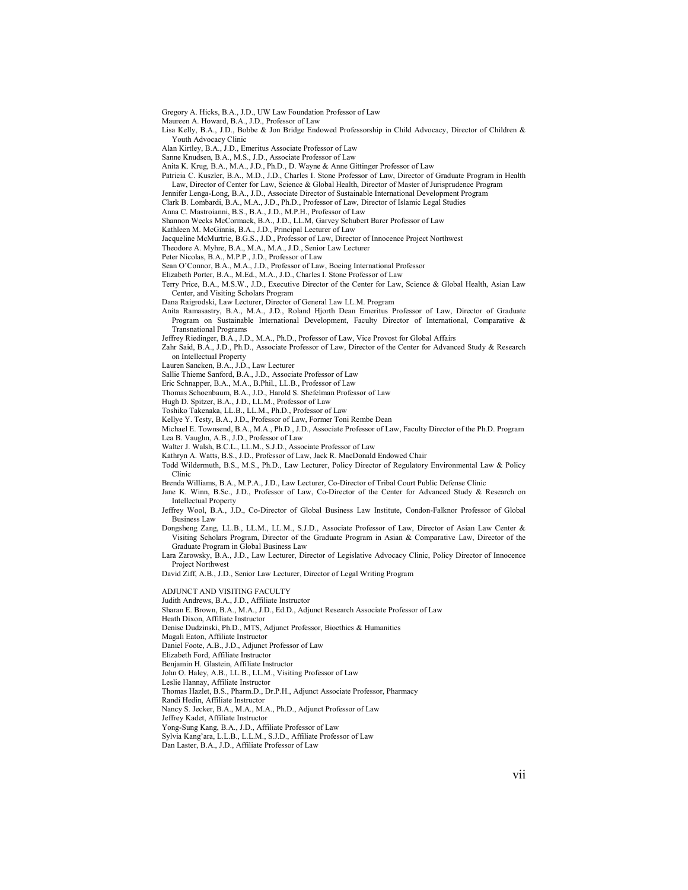Gregory A. Hicks, B.A., J.D., UW Law Foundation Professor of Law

Maureen A. Howard, B.A., J.D., Professor of Law

- Lisa Kelly, B.A., J.D., Bobbe & Jon Bridge Endowed Professorship in Child Advocacy, Director of Children & Youth Advocacy Clinic
- Alan Kirtley, B.A., J.D., Emeritus Associate Professor of Law
- Sanne Knudsen, B.A., M.S., J.D., Associate Professor of Law
- Anita K. Krug, B.A., M.A., J.D., Ph.D., D. Wayne & Anne Gittinger Professor of Law
- Patricia C. Kuszler, B.A., M.D., J.D., Charles I. Stone Professor of Law, Director of Graduate Program in Health Law, Director of Center for Law, Science & Global Health, Director of Master of Jurisprudence Program
- Jennifer Lenga-Long, B.A., J.D., Associate Director of Sustainable International Development Program
- Clark B. Lombardi, B.A., M.A., J.D., Ph.D., Professor of Law, Director of Islamic Legal Studies
- Anna C. Mastroianni, B.S., B.A., J.D., M.P.H., Professor of Law
- Shannon Weeks McCormack, B.A., J.D., LL.M, Garvey Schubert Barer Professor of Law
- Kathleen M. McGinnis, B.A., J.D., Principal Lecturer of Law
- Jacqueline McMurtrie, B.G.S., J.D., Professor of Law, Director of Innocence Project Northwest
- Theodore A. Myhre, B.A., M.A., M.A., J.D., Senior Law Lecturer
- Peter Nicolas, B.A., M.P.P., J.D., Professor of Law
- Sean O'Connor, B.A., M.A., J.D., Professor of Law, Boeing International Professor
- Elizabeth Porter, B.A., M.Ed., M.A., J.D., Charles I. Stone Professor of Law
- Terry Price, B.A., M.S.W., J.D., Executive Director of the Center for Law, Science & Global Health, Asian Law Center, and Visiting Scholars Program
- Dana Raigrodski, Law Lecturer, Director of General Law LL.M. Program
- Anita Ramasastry, B.A., M.A., J.D., Roland Hjorth Dean Emeritus Professor of Law, Director of Graduate Program on Sustainable International Development, Faculty Director of International, Comparative & Transnational Programs
- Jeffrey Riedinger, B.A., J.D., M.A., Ph.D., Professor of Law, Vice Provost for Global Affairs
- Zahr Said, B.A., J.D., Ph.D., Associate Professor of Law, Director of the Center for Advanced Study & Research on Intellectual Property
- Lauren Sancken, B.A., J.D., Law Lecturer
- Sallie Thieme Sanford, B.A., J.D., Associate Professor of Law
- Eric Schnapper, B.A., M.A., B.Phil., LL.B., Professor of Law
- Thomas Schoenbaum, B.A., J.D., Harold S. Shefelman Professor of Law
- Hugh D. Spitzer, B.A., J.D., LL.M., Professor of Law
- Toshiko Takenaka, LL.B., LL.M., Ph.D., Professor of Law
- Kellye Y. Testy, B.A., J.D., Professor of Law, Former Toni Rembe Dean
- Michael E. Townsend, B.A., M.A., Ph.D., J.D., Associate Professor of Law, Faculty Director of the Ph.D. Program Lea B. Vaughn, A.B., J.D., Professor of Law
- Walter J. Walsh, B.C.L., LL.M., S.J.D., Associate Professor of Law
- Kathryn A. Watts, B.S., J.D., Professor of Law, Jack R. MacDonald Endowed Chair
- Todd Wildermuth, B.S., M.S., Ph.D., Law Lecturer, Policy Director of Regulatory Environmental Law & Policy Clinic
- Brenda Williams, B.A., M.P.A., J.D., Law Lecturer, Co-Director of Tribal Court Public Defense Clinic
- Jane K. Winn, B.Sc., J.D., Professor of Law, Co-Director of the Center for Advanced Study & Research on Intellectual Property
- Jeffrey Wool, B.A., J.D., Co-Director of Global Business Law Institute, Condon-Falknor Professor of Global Business Law
- Dongsheng Zang, LL.B., LL.M., LL.M., S.J.D., Associate Professor of Law, Director of Asian Law Center & Visiting Scholars Program, Director of the Graduate Program in Asian & Comparative Law, Director of the Graduate Program in Global Business Law
- Lara Zarowsky, B.A., J.D., Law Lecturer, Director of Legislative Advocacy Clinic, Policy Director of Innocence Project Northwest
- David Ziff, A.B., J.D., Senior Law Lecturer, Director of Legal Writing Program
- ADJUNCT AND VISITING FACULTY
- Judith Andrews, B.A., J.D., Affiliate Instructor
- Sharan E. Brown, B.A., M.A., J.D., Ed.D., Adjunct Research Associate Professor of Law
- Heath Dixon, Affiliate Instructor
- Denise Dudzinski, Ph.D., MTS, Adjunct Professor, Bioethics & Humanities
- Magali Eaton, Affiliate Instructor
- Daniel Foote, A.B., J.D., Adjunct Professor of Law
- Elizabeth Ford, Affiliate Instructor
- Benjamin H. Glastein, Affiliate Instructor
- John O. Haley, A.B., LL.B., LL.M., Visiting Professor of Law
- Leslie Hannay, Affiliate Instructor

Thomas Hazlet, B.S., Pharm.D., Dr.P.H., Adjunct Associate Professor, Pharmacy

- Randi Hedin, Affiliate Instructor
- Nancy S. Jecker, B.A., M.A., M.A., Ph.D., Adjunct Professor of Law
- Jeffrey Kadet, Affiliate Instructor
- Yong-Sung Kang, B.A., J.D., Affiliate Professor of Law
- Sylvia Kang'ara, L.L.B., L.L.M., S.J.D., Affiliate Professor of Law
- Dan Laster, B.A., J.D., Affiliate Professor of Law